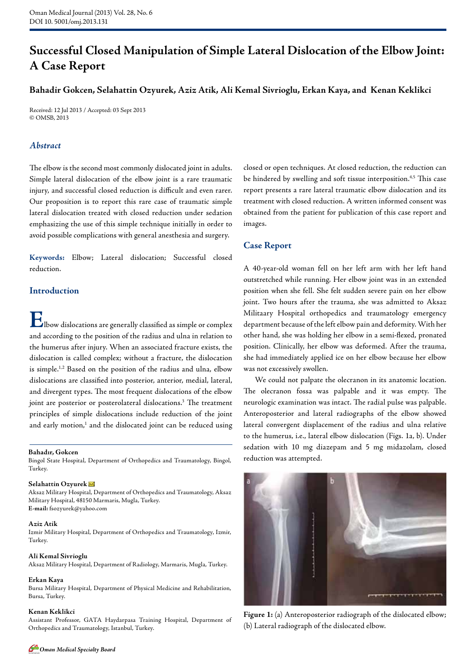# **Successful Closed Manipulation of Simple Lateral Dislocation of the Elbow Joint: A Case Report**

# **Bahadir Gokcen, Selahattin Ozyurek, Aziz Atik, Ali Kemal Sivrioglu, Erkan Kaya, and Kenan Keklikci**

Received: 12 Jul 2013 / Accepted: 03 Sept 2013 © OMSB, 2013

# *Abstract*

The elbow is the second most commonly dislocated joint in adults. Simple lateral dislocation of the elbow joint is a rare traumatic injury, and successful closed reduction is difficult and even rarer. Our proposition is to report this rare case of traumatic simple lateral dislocation treated with closed reduction under sedation emphasizing the use of this simple technique initially in order to avoid possible complications with general anesthesia and surgery.

**Keywords:** Elbow; Lateral dislocation; Successful closed reduction.

## **Introduction**

**E**lbow dislocations are generally classified as simple or complex and according to the position of the radius and ulna in relation to the humerus after injury. When an associated fracture exists, the dislocation is called complex; without a fracture, the dislocation is simple.1,2 Based on the position of the radius and ulna, elbow dislocations are classified into posterior, anterior, medial, lateral, and divergent types. The most frequent dislocations of the elbow joint are posterior or posterolateral dislocations.<sup>3</sup> The treatment principles of simple dislocations include reduction of the joint and early motion,<sup>1</sup> and the dislocated joint can be reduced using

#### **Bahadır, Gokcen**

Bingol State Hospital, Department of Orthopedics and Traumatology, Bingol, Turkey.

#### **Selahattin Ozyurek**

Aksaz Military Hospital, Department of Orthopedics and Traumatology, Aksaz Military Hospital, 48150 Marmaris, Mugla, Turkey. **E-mail:** fsozyurek@yahoo.com

#### **Aziz Atik**

Izmir Military Hospital, Department of Orthopedics and Traumatology, Izmir, Turkey.

#### **Ali Kemal Sivrioglu**

Aksaz Military Hospital, Department of Radiology, Marmaris, Mugla, Turkey.

### **Erkan Kaya**

Bursa Military Hospital, Department of Physical Medicine and Rehabilitation, Bursa, Turkey.

### **Kenan Keklikci**

Assistant Professor, GATA Haydarpasa Training Hospital, Department of Orthopedics and Traumatology, Istanbul, Turkey.

closed or open techniques. At closed reduction, the reduction can be hindered by swelling and soft tissue interposition.<sup>4,5</sup> This case report presents a rare lateral traumatic elbow dislocation and its treatment with closed reduction. A written informed consent was obtained from the patient for publication of this case report and images.

# **Case Report**

A 40-year-old woman fell on her left arm with her left hand outstretched while running. Her elbow joint was in an extended position when she fell. She felt sudden severe pain on her elbow joint. Two hours after the trauma, she was admitted to Aksaz Militaary Hospital orthopedics and traumatology emergency department because of the left elbow pain and deformity. With her other hand, she was holding her elbow in a semi-flexed, pronated position. Clinically, her elbow was deformed. After the trauma, she had immediately applied ice on her elbow because her elbow was not excessively swollen.

We could not palpate the olecranon in its anatomic location. The olecranon fossa was palpable and it was empty. The neurologic examination was intact. The radial pulse was palpable. Anteroposterior and lateral radiographs of the elbow showed lateral convergent displacement of the radius and ulna relative to the humerus, i.e., lateral elbow dislocation (Figs. 1a, b). Under sedation with 10 mg diazepam and 5 mg midazolam, closed reduction was attempted.



**Figure 1:** (a) Anteroposterior radiograph of the dislocated elbow; (b) Lateral radiograph of the dislocated elbow.

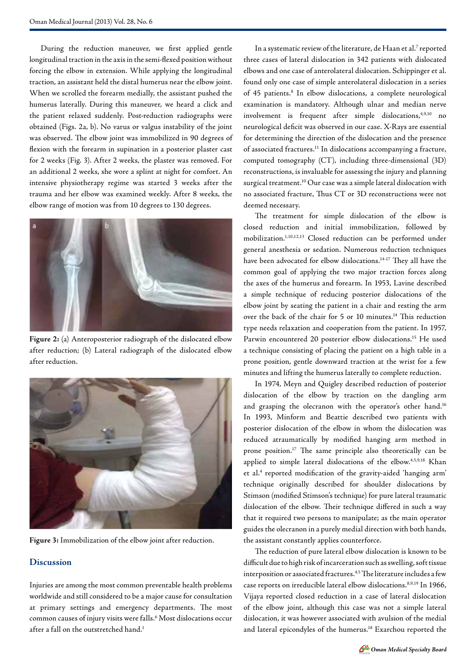During the reduction maneuver, we first applied gentle longitudinal traction in the axis in the semi-flexed position without forcing the elbow in extension. While applying the longitudinal traction, an assistant held the distal humerus near the elbow joint. When we scrolled the forearm medially, the assistant pushed the humerus laterally. During this maneuver, we heard a click and the patient relaxed suddenly. Post-reduction radiographs were obtained (Figs. 2a, b). No varus or valgus instability of the joint was observed. The elbow joint was immobilized in 90 degrees of flexion with the forearm in supination in a posterior plaster cast for 2 weeks (Fig. 3). After 2 weeks, the plaster was removed. For an additional 2 weeks, she wore a splint at night for comfort. An intensive physiotherapy regime was started 3 weeks after the trauma and her elbow was examined weekly. After 8 weeks, the elbow range of motion was from 10 degrees to 130 degrees.



**Figure 2:** (a) Anteroposterior radiograph of the dislocated elbow after reduction; (b) Lateral radiograph of the dislocated elbow after reduction.



**Figure 3:** Immobilization of the elbow joint after reduction.

## **Discussion**

Injuries are among the most common preventable health problems worldwide and still considered to be a major cause for consultation at primary settings and emergency departments. The most common causes of injury visits were falls.6 Most dislocations occur after a fall on the outstretched hand.<sup>1</sup>

In a systematic review of the literature, de Haan et al.<sup>7</sup> reported three cases of lateral dislocation in 342 patients with dislocated elbows and one case of anterolateral dislocation. Schippinger et al. found only one case of simple anterolateral dislocation in a series of 45 patients.<sup>8</sup> In elbow dislocations, a complete neurological examination is mandatory. Although ulnar and median nerve involvement is frequent after simple dislocations,<sup>4,9,10</sup> no neurological deficit was observed in our case. X-Rays are essential for determining the direction of the dislocation and the presence of associated fractures.11 In dislocations accompanying a fracture, computed tomography (CT), including three-dimensional (3D) reconstructions, is invaluable for assessing the injury and planning surgical treatment.10 Our case was a simple lateral dislocation with no associated fracture, Thus CT or 3D reconstructions were not deemed necessary.

The treatment for simple dislocation of the elbow is closed reduction and initial immobilization, followed by mobilization.1,10,12,13 Closed reduction can be performed under general anesthesia or sedation. Numerous reduction techniques have been advocated for elbow dislocations.<sup>14-17</sup> They all have the common goal of applying the two major traction forces along the axes of the humerus and forearm. In 1953, Lavine described a simple technique of reducing posterior dislocations of the elbow joint by seating the patient in a chair and resting the arm over the back of the chair for 5 or 10 minutes.<sup>14</sup> This reduction type needs relaxation and cooperation from the patient. In 1957, Parwin encountered 20 posterior elbow dislocations.<sup>15</sup> He used a technique consisting of placing the patient on a high table in a prone position, gentle downward traction at the wrist for a few minutes and lifting the humerus laterally to complete reduction.

In 1974, Meyn and Quigley described reduction of posterior dislocation of the elbow by traction on the dangling arm and grasping the olecranon with the operator's other hand.<sup>16</sup> In 1993, Minform and Beattie described two patients with posterior dislocation of the elbow in whom the dislocation was reduced atraumatically by modified hanging arm method in prone position.17 The same principle also theoretically can be applied to simple lateral dislocations of the elbow.<sup>4,5,9,18</sup> Khan et al.<sup>4</sup> reported modification of the gravity-aided 'hanging arm' technique originally described for shoulder dislocations by Stimson (modified Stimson's technique) for pure lateral traumatic dislocation of the elbow. Their technique differed in such a way that it required two persons to manipulate; as the main operator guides the olecranon in a purely medial direction with both hands, the assistant constantly applies counterforce.

The reduction of pure lateral elbow dislocation is known to be difficult due to high risk of incarceration such as swelling, soft tissue interposition or associated fractures.4,5 The literature includes a few case reports on irreducible lateral elbow dislocations.<sup>8,9,19</sup> In 1966, Vijaya reported closed reduction in a case of lateral dislocation of the elbow joint, although this case was not a simple lateral dislocation, it was however associated with avulsion of the medial and lateral epicondyles of the humerus.18 Exarchou reported the